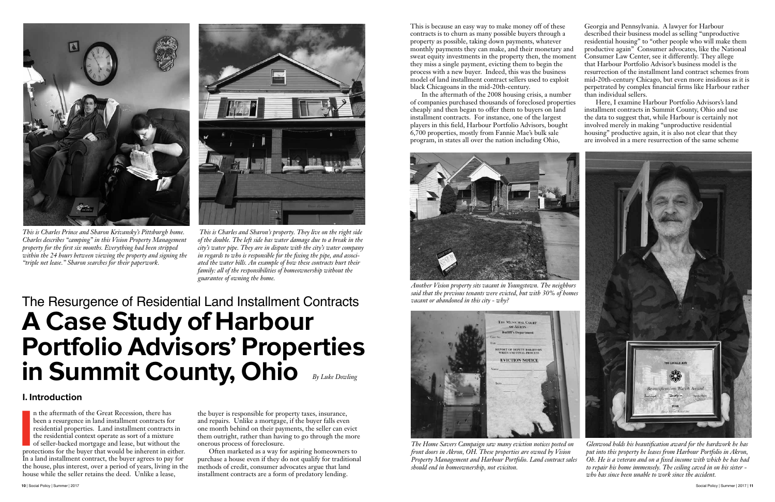### I. Introduction

n the aftermath of the Great Recession, there has<br>been a resurgence in land installment contracts for<br>residential properties. Land installment contracts in<br>the residential context operate as sort of a mixture<br>of seller-bac n the aftermath of the Great Recession, there has been a resurgence in land installment contracts for residential properties. Land installment contracts in the residential context operate as sort of a mixture of seller-backed mortgage and lease, but without the In a land installment contract, the buyer agrees to pay for the house, plus interest, over a period of years, living in the house while the seller retains the deed. Unlike a lease,

the buyer is responsible for property taxes, insurance, and repairs. Unlike a mortgage, if the buyer falls even one month behind on their payments, the seller can evict them outright, rather than having to go through the more onerous process of foreclosure.

Often marketed as a way for aspiring homeowners to purchase a house even if they do not qualify for traditional methods of credit, consumer advocates argue that land installment contracts are a form of predatory lending.

This is because an easy way to make money off of these contracts is to churn as many possible buyers through a property as possible, taking down payments, whatever monthly payments they can make, and their monetary and sweat equity investments in the property then, the moment they miss a single payment, evicting them to begin the process with a new buyer. Indeed, this was the business model of land installment contract sellers used to exploit black Chicagoans in the mid-20th-century.

In the aftermath of the 2008 housing crisis, a number of companies purchased thousands of foreclosed properties cheaply and then began to offer them to buyers on land installment contracts. For instance, one of the largest players in this field, Harbour Portfolio Advisors, bought 6,700 properties, mostly from Fannie Mae's bulk sale program, in states all over the nation including Ohio,

Georgia and Pennsylvania. A lawyer for Harbour described their business model as selling "unproductive residential housing" to "other people who will make them productive again" Consumer advocates, like the National Consumer Law Center, see it differently. They allege that Harbour Portfolio Advisor's business model is the resurrection of the installment land contract schemes from mid-20th-century Chicago, but even more insidious as it is perpetrated by complex financial firms like Harbour rather than individual sellers.

Here, I examine Harbour Portfolio Advisors's land installment contracts in Summit County, Ohio and use the data to suggest that, while Harbour is certainly not involved merely in making "unproductive residential housing" productive again, it is also not clear that they are involved in a mere resurrection of the same scheme

## The Resurgence of Residential Land Installment Contracts A Case Study of Harbour Portfolio Advisors' Properties in Summit County, Ohio *By Luke Dowling*



*This is Charles Prince and Sharon Krivansky's Pittsburgh home. Charles describes "camping" in this Vision Property Management property for the first six months. Everything had been stripped within the 24 hours between viewing the property and signing the "triple net lease." Sharon searches for their paperwork.*



 *This is Charles and Sharon's property. They live on the right side of the double. The left side has water damage due to a break in the city's water pipe. They are in dispute with the city's water company in regards to who is responsible for the fixing the pipe, and associated the water bills. An example of how these contracts hurt their family: all of the responsibilities of homeownership without the guarantee of owning the home.*





*The Home Savers Campaign saw many eviction notices posted on front doors in Akron, OH. These properties are owned by Vision Property Management and Harbour Portfolio. Land contract sales should end in homeownership, not eviciton. Glenwood holds his beautification award for the hardwork he has put into this property he leases from Harbour Portfolio in Akron, Oh. He is a veteran and on a fixed income with which he has had to repair his home immensely. The ceiling caved in on his sister who has since been unable to work since the accident.*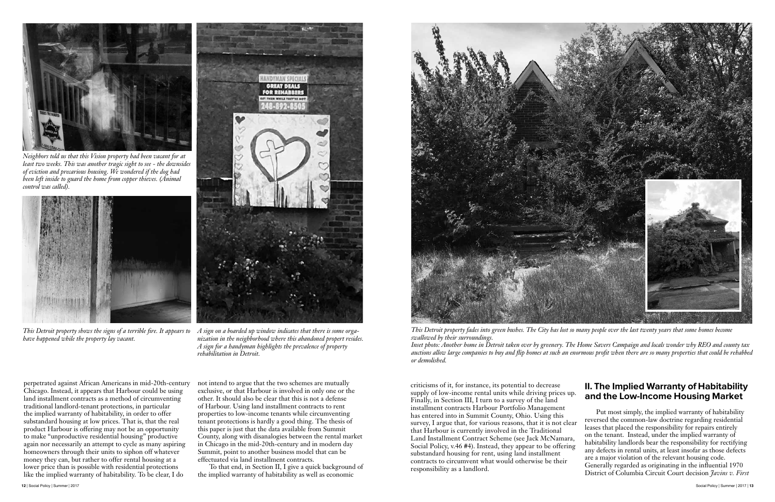perpetrated against African Americans in mid-20th-century Chicago. Instead, it appears that Harbour could be using land installment contracts as a method of circumventing traditional landlord-tenant protections, in particular the implied warranty of habitability, in order to offer substandard housing at low prices. That is, that the real product Harbour is offering may not be an opportunity to make "unproductive residential housing" productive again nor necessarily an attempt to cycle as many aspiring homeowners through their units to siphon off whatever money they can, but rather to offer rental housing at a lower price than is possible with residential protections like the implied warranty of habitability. To be clear, I do

not intend to argue that the two schemes are mutually exclusive, or that Harbour is involved in only one or the other. It should also be clear that this is not a defense of Harbour. Using land installment contracts to rent properties to low-income tenants while circumventing tenant protections is hardly a good thing. The thesis of this paper is just that the data available from Summit County, along with disanalogies between the rental market in Chicago in the mid-20th-century and in modern day Summit, point to another business model that can be effectuated via land installment contracts.

To that end, in Section II, I give a quick background of the implied warranty of habitability as well as economic





*Neighbors told us that this Vision property had been vacant for at least two weeks. This was another tragic sight to see - the downsides of eviction and precarious housing. We wondered if the dog had been left inside to guard the home from copper thieves. (Animal control was called).*



*This Detroit property shows the signs of a terrible fire. It appears to have happened while the property lay vacant.* 



*A sign on a boarded up window indicates that there is some organization in the neighborhood where this abandoned propert resides. A sign for a handyman highlights the prevalence of property rehabilitation in Detroit.*

criticisms of it, for instance, its potential to decrease supply of low-income rental units while driving prices up. Finally, in Section III, I turn to a survey of the land installment contracts Harbour Portfolio Management has entered into in Summit County, Ohio. Using this survey, I argue that, for various reasons, that it is not clear that Harbour is currently involved in the Traditional Land Installment Contract Scheme (see Jack McNamara, Social Policy, v.46 #4). Instead, they appear to be offering substandard housing for rent, using land installment contracts to circumvent what would otherwise be their responsibility as a landlord. II. The Implied Warranty of Habitability and the Low-Income Housing Market Put most simply, the implied warranty of habitability reversed the common-law doctrine regarding residential leases that placed the responsibility for repairs entirely on the tenant. Instead, under the implied warranty of habitability landlords bear the responsibility for rectifying any defects in rental units, at least insofar as those defects are a major violation of the relevant housing code. Generally regarded as originating in the influential 1970 District of Columbia Circuit Court decision *Javins v. First* 

*This Detroit property fades into green bushes. The City has lost so many people over the last twenty years that some homes become swallowed by their surroundings. Inset photo: Another home in Detroit taken over by greenery. The Home Savers Campaign and locals wonder why REO and county tax auctions allow large companies to buy and flip homes at such an enormous profit when there are so many properties that could be rehabbed or demolished.*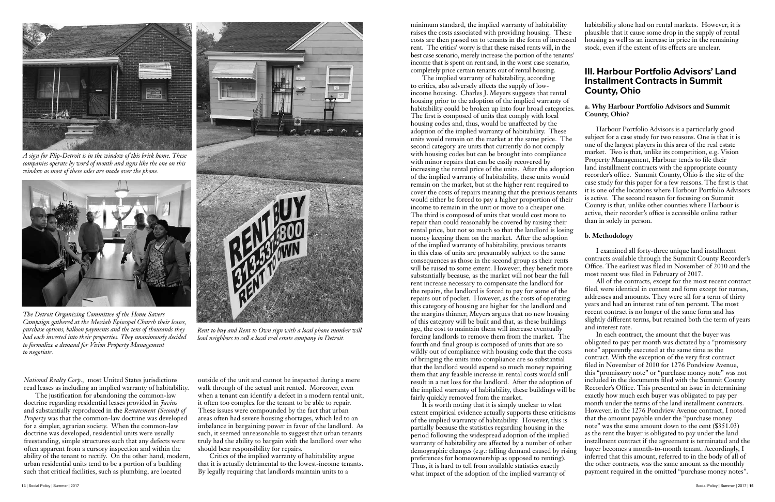**14** | Social Policy | Summer | 2017 Social Policy | Summer | 2017 | **15**

*National Realty Corp.,* most United States jurisdictions read leases as including an implied warranty of habitability.

The justification for abandoning the common-law doctrine regarding residential leases provided in *Javins* and substantially reproduced in the *Restatement (Second) of Property* was that the common-law doctrine was developed for a simpler, agrarian society. When the common-law doctrine was developed, residential units were usually freestanding, simple structures such that any defects were often apparent from a cursory inspection and within the ability of the tenant to rectify. On the other hand, modern, urban residential units tend to be a portion of a building such that critical facilities, such as plumbing, are located

outside of the unit and cannot be inspected during a mere walk through of the actual unit rented. Moreover, even when a tenant can identify a defect in a modern rental unit, it often too complex for the tenant to be able to repair. These issues were compounded by the fact that urban areas often had severe housing shortages, which led to an imbalance in bargaining power in favor of the landlord. As such, it seemed unreasonable to suggest that urban tenants truly had the ability to bargain with the landlord over who should bear responsibility for repairs.

Critics of the implied warranty of habitability argue that it is actually detrimental to the lowest-income tenants. By legally requiring that landlords maintain units to a



*A sign for Flip-Detroit is in the window of this brick home. These companies operate by word of mouth and signs like the one on this window as most of these sales are made over the phone.*



*The Detroit Organizing Committee of the Home Savers Campaign gathered at the Messiah Episcopal Church their leases, purchase options, balloon payments and the tens of thousands they had each invested into their properties. They unanimously decided to formalize a demand for Vision Property Management to negotiate.*



*Rent to buy and Rent to Own sign with a local phone number will lead neighbors to call a local real estate company in Detroit.*

minimum standard, the implied warranty of habitability raises the costs associated with providing housing. These costs are then passed on to tenants in the form of increased rent. The critics' worry is that these raised rents will, in the best case scenario, merely increase the portion of the tenants' income that is spent on rent and, in the worst case scenario, completely price certain tenants out of rental housing.

The implied warranty of habitability, according to critics, also adversely affects the supply of lowincome housing. Charles J. Meyers suggests that rental housing prior to the adoption of the implied warranty of habitability could be broken up into four broad categories. The first is composed of units that comply with local housing codes and, thus, would be unaffected by the adoption of the implied warranty of habitability. These units would remain on the market at the same price. The second category are units that currently do not comply with housing codes but can be brought into compliance with minor repairs that can be easily recovered by increasing the rental price of the units. After the adoption of the implied warranty of habitability, these units would remain on the market, but at the higher rent required to cover the costs of repairs meaning that the previous tenants would either be forced to pay a higher proportion of their income to remain in the unit or move to a cheaper one. The third is composed of units that would cost more to repair than could reasonably be covered by raising their rental price, but not so much so that the landlord is losing money keeping them on the market. After the adoption of the implied warranty of habitability, previous tenants in this class of units are presumably subject to the same consequences as those in the second group as their rents will be raised to some extent. However, they benefit more substantially because, as the market will not bear the full rent increase necessary to compensate the landlord for the repairs, the landlord is forced to pay for some of the repairs out of pocket. However, as the costs of operating this category of housing are higher for the landlord and the margins thinner, Meyers argues that no new housing of this category will be built and that, as these buildings age, the cost to maintain them will increase eventually Installment Contracts in Summit County, Ohio **a. Why Harbour Portfolio Advisors and Summit County, Ohio?** Harbour Portfolio Advisors is a particularly good subject for a case study for two reasons. One is that it is one of the largest players in this area of the real estate market. Two is that, unlike its competition, e.g. Vision Property Management, Harbour tends to file their land installment contracts with the appropriate county recorder's office. Summit County, Ohio is the site of the case study for this paper for a few reasons. The first is that it is one of the locations where Harbour Portfolio Advisors is active. The second reason for focusing on Summit County is that, unlike other counties where Harbour is active, their recorder's office is accessible online rather than in solely in person. **b. Methodology** I examined all forty-three unique land installment contracts available through the Summit County Recorder's Office. The earliest was filed in November of 2010 and the most recent was filed in February of 2017. All of the contracts, except for the most recent contract filed, were identical in content and form except for names, addresses and amounts. They were all for a term of thirty years and had an interest rate of ten percent. The most recent contract is no longer of the same form and has slightly different terms, but retained both the term of years and interest rate. In each contract, the amount that the buyer was obligated to pay per month was dictated by a "promissory note" apparently executed at the same time as the contract. With the exception of the very first contract filed in November of 2010 for 1276 Pondview Avenue, this "promissory note" or "purchase money note" was not included in the documents filed with the Summit County Recorder's Office. This presented an issue in determining exactly how much each buyer was obligated to pay per

habitability alone had on rental markets. However, it is plausible that it cause some drop in the supply of rental housing as well as an increase in price in the remaining stock, even if the extent of its effects are unclear.

# III. Harbour Portfolio Advisors' Land

forcing landlords to remove them from the market. The fourth and final group is composed of units that are so wildly out of compliance with housing code that the costs of bringing the units into compliance are so substantial that the landlord would expend so much money repairing them that any feasible increase in rental costs would still result in a net loss for the landlord. After the adoption of the implied warranty of habitability, these buildings will be fairly quickly removed from the market. It is worth noting that it is simply unclear to what extent empirical evidence actually supports these criticisms of the implied warranty of habitability. However, this is partially because the statistics regarding housing in the period following the widespread adoption of the implied warranty of habitability are affected by a number of other demographic changes (e.g.: falling demand caused by rising preferences for homeownership as opposed to renting). Thus, it is hard to tell from available statistics exactly what impact of the adoption of the implied warranty of month under the terms of the land installment contracts. However, in the 1276 Pondview Avenue contract, I noted that the amount payable under the "purchase money note" was the same amount down to the cent (\$351.03) as the rent the buyer is obligated to pay under the land installment contract if the agreement is terminated and the buyer becomes a month-to-month tenant. Accordingly, I inferred that this amount, referred to in the body of all of the other contracts, was the same amount as the monthly payment required in the omitted "purchase money notes".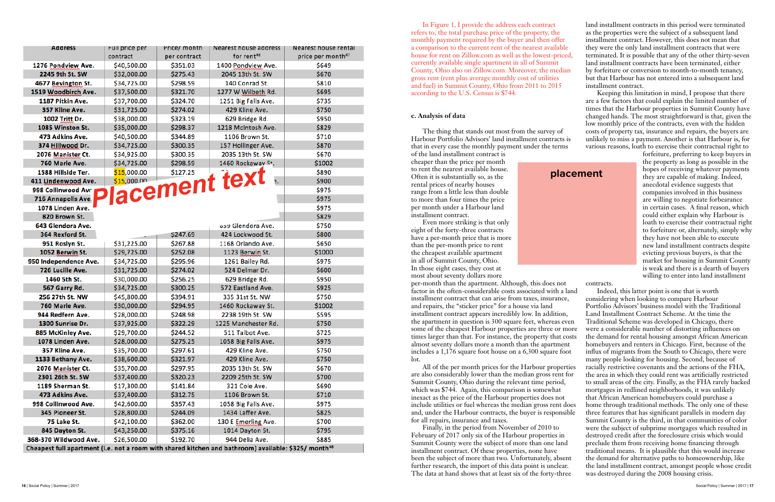In Figure 1, I provide the address each contract refers to, the total purchase price of the property, the monthly payment required by the buyer and then offer a comparison to the current rent of the nearest available house for rent on Zillow.com as well as the lowest-priced, currently available single apartment in all of Summit County, Ohio also on Zillow.com. Moreover, the median gross rent (rent plus average monthly cost of utilities and fuel) in Summit County, Ohio from 2011 to 2015 according to the U.S. Census is \$744.

### **c. Analysis of data**

The thing that stands out most from the survey of Harbour Portfolio Advisors' land installment contracts is that in every case the monthly payment under the terms

of the land installment contract is cheaper than the price per month to rent the nearest available house. Often it is substantially so, as the rental prices of nearby houses range from a little less than double to more than four times the price per month under a Harbour land installment contract.

Even more striking is that only eight of the forty-three contracts have a per-month price that is more than the per-month price to rent the cheapest available apartment in all of Summit County, Ohio. In those eight cases, they cost at most about seventy dollars more

per-month than the apartment. Although, this does not factor in the often-considerable costs associated with a land installment contract that can arise from taxes, insurance, and repairs, the "sticker price" for a house via land installment contract appears incredibly low. In addition, the apartment in question is 300 square feet, whereas even some of the cheapest Harbour properties are three or more times larger than that. For instance, the property that costs almost seventy dollars more a month than the apartment includes a 1,176 square foot house on a 6,300 square foot lot.

All of the per month prices for the Harbour properties are also considerably lower than the median gross rent for Summit County, Ohio during the relevant time period, which was \$744. Again, this comparison is somewhat inexact as the price of the Harbour properties does not include utilities or fuel whereas the median gross rent does and, under the Harbour contracts, the buyer is responsible for all repairs, insurance and taxes.

Finally, in the period from November of 2010 to February of 2017 only six of the Harbour properties in Summit County were the subject of more than one land installment contract. Of these properties, none have been the subject of more than two. Unfortunately, absent further research, the import of this data point is unclear. The data at hand shows that at least six of the forty-three

land installment contracts in this period were terminated as the properties were the subject of a subsequent land installment contract. However, this does not mean that they were the only land installment contracts that were terminated. It is possible that any of the other thirty-seven land installment contracts have been terminated, either by forfeiture or conversion to month-to-month tenancy, but that Harbour has not entered into a subsequent land installment contract.

Keeping this limitation in mind, I propose that there are a few factors that could explain the limited number of times that the Harbour properties in Summit County have changed hands. The most straightforward is that, given the low monthly price of the contracts, even with the hidden costs of property tax, insurance and repairs, the buyers are unlikely to miss a payment. Another is that Harbour is, for various reasons, loath to exercise their contractual right to

> forfeiture, preferring to keep buyers in the property as long as possible in the hopes of receiving whatever payments they are capable of making. Indeed, anecdotal evidence suggests that companies involved in this business are willing to negotiate forbearance in certain cases. A final reason, which could either explain why Harbour is loath to exercise their contractual right to forfeiture or, alternately, simply why they have not been able to execute new land installment contracts despite evicting previous buyers, is that the market for housing in Summit County is weak and there is a dearth of buyers willing to enter into land installment

contracts.

Indeed, this latter point is one that is worth considering when looking to compare Harbour Portfolio Advisors' business model with the Traditional Land Installment Contract Scheme. At the time the Traditional Scheme was developed in Chicago, there were a considerable number of distorting influences on the demand for rental housing amongst African American homebuyers and renters in Chicago. First, because of the influx of migrants from the South to Chicago, there were many people looking for housing. Second, because of racially restrictive covenants and the actions of the FHA, the area in which they could rent was artificially restricted to small areas of the city. Finally, as the FHA rarely backed mortgages in redlined neighborhoods, it was unlikely that African American homebuyers could purchase a home through traditional methods. The only one of these three features that has significant parallels in modern day Summit County is the third, in that communities of color were the subject of subprime mortgages which resulted in destroyed credit after the foreclosure crisis which would preclude them from receiving home financing through traditional means. It is plausible that this would increase the demand for alternative paths to homeownership, like the land installment contract, amongst people whose credit was destroyed during the 2008 housing crisis.



| Address                                                                                                          | Full price per | Price/ month | Nearest house address  | Nearest house rental          |
|------------------------------------------------------------------------------------------------------------------|----------------|--------------|------------------------|-------------------------------|
|                                                                                                                  | contract       | per contract | for rent <sup>46</sup> | price per month <sup>47</sup> |
| 1276 Pondview Ave.                                                                                               | \$40,500.00    | \$351.03     | 1400 Pondview Ave.     | \$649                         |
| 2245 9th St. SW                                                                                                  | \$32,000.00    | \$275.43     | 2045 13th St. SW       | \$670                         |
| 4677 Bevington St.                                                                                               | \$34,725.00    | \$298.59     | 140 Conrad St.         | \$810                         |
| 1519 Woodbirch Ave.                                                                                              | \$37,500.00    | \$321.70     | 1277 W Wilbeth Rd.     | \$695                         |
| 1187 Pitkin Ave.                                                                                                 | \$37,700.00    | \$324.70     | 1251 Big Falls Ave.    | \$735                         |
| 357 Kline Ave.                                                                                                   | \$31,725.00    | \$274.02     | 429 Kline Ave.         | \$750                         |
| 1002 Tritt Dr.                                                                                                   | \$38,000.00    | \$323.19     | 629 Bridge Rd.         | \$950                         |
| 1085 Winston St.                                                                                                 | \$35,000.00    | \$298.37     | 1218 McIntosh Ave.     | \$829                         |
| 473 Adkins Ave.                                                                                                  | \$40,500.00    | \$344.89     | 1106 Brown St.         | \$710                         |
| 374 Hillwood Dr.                                                                                                 | \$34,725.00    | \$300.35     | 157 Hollinger Ave.     | \$870                         |
| 2076 Manister Ct.                                                                                                | \$34,925.00    | \$300.35     | 2035 13th St. SW       | \$670                         |
| 760 Marie Ave.                                                                                                   | \$34,725.00    | \$298.59     | 1460 Rockaway St.      | \$1002                        |
| 1588 Hillside Ter.                                                                                               | \$15,000.00    | \$127.25     |                        | \$890                         |
| 411 Lindenwood Ave.                                                                                              |                |              | lacement text          | \$900                         |
| 998 Collinwood Ave                                                                                               |                |              |                        | \$975                         |
| 716 Annapolis Ave.                                                                                               |                |              |                        | \$975                         |
| 1078 Linden Ave.                                                                                                 |                |              |                        | \$975                         |
| 820 Brown St.                                                                                                    |                |              |                        | \$829                         |
| 643 Glendora Ave.                                                                                                |                |              | ope Glendora Ave.      | \$750                         |
| 364 Rexford St.                                                                                                  |                | \$247.69     | 424 Lockwood St.       | \$800                         |
| 951 Roslyn St.                                                                                                   | \$31,225.00    | \$267.88     | 1168 Orlando Ave.      | \$650                         |
| 1052 Berwin St.                                                                                                  | \$29,725.00    | \$252.08     | 1123 Berwin St.        | \$1000                        |
| 950 Independence Ave.                                                                                            | \$34,725.00    | \$295.96     | 1261 Bailey Rd.        | \$975                         |
| 726 Lucille Ave.                                                                                                 | \$31,725.00    | \$274.02     | 524 Delmar Dr.         | \$600                         |
| 1460 5th St.                                                                                                     | \$30,000.00    | \$256.25     | 629 Bridge Rd.         | \$950                         |
| 567 Garry Rd.                                                                                                    | \$34,725.00    | \$300.25     | 572 Eastland Ave.      | \$925                         |
| 256 27th St. NW                                                                                                  | \$45,800.00    | \$394.91     | 335 31st St. NW        | \$750                         |
| 760 Marie Ave.                                                                                                   | \$30,000.00    | \$294.95     | 1460 Rockaway St.      | \$1002                        |
| 944 Redfern Ave.                                                                                                 | \$28,000.00    | \$248.98     | 2238 19th St. SW       | \$595                         |
| 1300 Sunrise Dr.                                                                                                 | \$37,925.00    | \$322.29     | 1225 Manchester Rd.    | \$750                         |
| 885 McKinley Ave.                                                                                                | \$29,700.00    | \$244.52     | 511 Talbot Ave.        | \$725                         |
| 1078 Linden Ave.                                                                                                 | \$28,000.00    | \$275.25     | 1058 Big Falls Ave.    | \$975                         |
| 357 Kline Ave.                                                                                                   | \$35,700.00    | \$297.61     | 429 Kline Ave.         | \$750                         |
| 1133 Bethany Ave.                                                                                                | \$38,600.00    | \$321.97     | 429 Kline Ave.         | \$750                         |
| 2076 Manister Ct.                                                                                                | \$35,700.00    | \$297.95     | 2035 13th St. SW       | \$670                         |
| 2301 26th St. SW                                                                                                 | \$37,400.00    | \$320.23     | 2209 25th St. SW       | \$700                         |
| 1189 Sherman St.                                                                                                 | \$17,300.00    | \$141.84     | 321 Cole Ave.          | \$690                         |
| 473 Adkins Ave.                                                                                                  | \$37,400.00    | \$312.75     | 1106 Brown St.         | \$710                         |
| 998 Collinwood Ave.                                                                                              | \$42,600.00    | \$357.43     | 1058 Big Falls Ave.    | \$975                         |
| 345 Pioneer St.                                                                                                  | \$28,800.00    | \$244.09     | 1434 Laffer Ave.       | \$825                         |
| 75 Lake St.                                                                                                      | \$42,100.00    | \$362.00     | 130 E Emerling Ave.    | \$700                         |
| 845 Dayton St.                                                                                                   | \$43,250.00    | \$375.16     | 1014 Dayton St.        | \$795                         |
| 368-370 Wildwood Ave.                                                                                            | \$26,500.00    | \$192.70     | 944 Delia Ave.         | \$885                         |
| Cheapest full apartment (i.e. not a room with shared kitchen and bathroom) available: \$325/ month <sup>48</sup> |                |              |                        |                               |